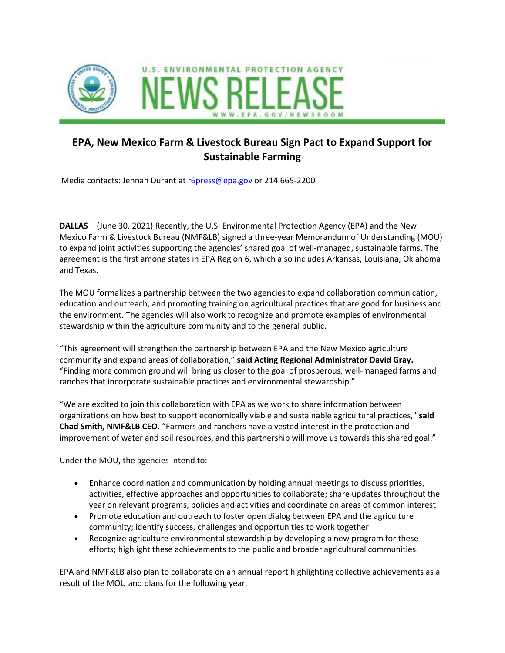



## **EPA, New Mexico Farm & Livestock Bureau Sign Pact to Expand Support for Sustainable Farming**

Media contacts: Jennah Durant at [r6press@epa.gov](mailto:r6press@epa.gov) or 214 665-2200

**DALLAS** – (June 30, 2021) Recently, the U.S. Environmental Protection Agency (EPA) and the New Mexico Farm & Livestock Bureau (NMF&LB) signed a three-year Memorandum of Understanding (MOU) to expand joint activities supporting the agencies' shared goal of well-managed, sustainable farms. The agreement is the first among states in EPA Region 6, which also includes Arkansas, Louisiana, Oklahoma and Texas.

The MOU formalizes a partnership between the two agencies to expand collaboration communication, education and outreach, and promoting training on agricultural practices that are good for business and the environment. The agencies will also work to recognize and promote examples of environmental stewardship within the agriculture community and to the general public.

"This agreement will strengthen the partnership between EPA and the New Mexico agriculture community and expand areas of collaboration," **said Acting Regional Administrator David Gray.** "Finding more common ground will bring us closer to the goal of prosperous, well-managed farms and ranches that incorporate sustainable practices and environmental stewardship."

"We are excited to join this collaboration with EPA as we work to share information between organizations on how best to support economically viable and sustainable agricultural practices," **said Chad Smith, NMF&LB CEO.** "Farmers and ranchers have a vested interest in the protection and improvement of water and soil resources, and this partnership will move us towards this shared goal."

Under the MOU, the agencies intend to:

- Enhance coordination and communication by holding annual meetings to discuss priorities, activities, effective approaches and opportunities to collaborate; share updates throughout the year on relevant programs, policies and activities and coordinate on areas of common interest
- Promote education and outreach to foster open dialog between EPA and the agriculture community; identify success, challenges and opportunities to work together
- Recognize agriculture environmental stewardship by developing a new program for these efforts; highlight these achievements to the public and broader agricultural communities.

EPA and NMF&LB also plan to collaborate on an annual report highlighting collective achievements as a result of the MOU and plans for the following year.